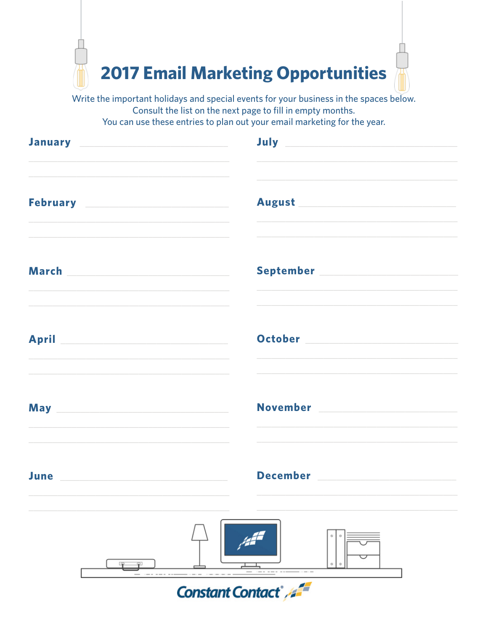

Write the important holidays and special events for your business in the spaces below. Consult the list on the next page to fill in empty months. You can use these entries to plan out your email marketing for the year.

|                         | July <b>Service Commission Commission</b><br>January Manual Manual Manual Manual Manual Manual                                                                                                                                                                                                                                                                                                                                                                              |  |  |  |  |  |
|-------------------------|-----------------------------------------------------------------------------------------------------------------------------------------------------------------------------------------------------------------------------------------------------------------------------------------------------------------------------------------------------------------------------------------------------------------------------------------------------------------------------|--|--|--|--|--|
|                         | February <b>Executive Service Service Service Service Service Service Service Service Service Service Service Service Service Service Service Service Service Service Service Service Service Service Service Service Service Se</b><br>August Manuel Manuel Manuel Manuel Manuel Manuel Manuel Manuel Manuel Manuel Manuel Manuel Manuel Manuel Manuel<br>and the control of the control of the control of the control of the control of the control of the control of the |  |  |  |  |  |
|                         |                                                                                                                                                                                                                                                                                                                                                                                                                                                                             |  |  |  |  |  |
|                         | the control of the control of the control of the control of the control of the control of the control of the control of the control of the control of the control of the control of the control of the control of the control<br>October 2008 and 2008 and 2008 and 2008 and 2008 and 2008 and 2008 and 2008 and 2008 and 2008 and 2008 and 20                                                                                                                              |  |  |  |  |  |
|                         | November 2008 and 2008 and 2010 and 2010 and 2010 and 2010 and 2010 and 2010 and 2010 and 2010 and 2010 and 20<br>May <b>Market Commission Commission</b><br><u> 1980 - Johann Stoff, amerikansk politiker (d. 1980)</u>                                                                                                                                                                                                                                                    |  |  |  |  |  |
| <b>June</b>             | December <b>Exercise Seconds</b>                                                                                                                                                                                                                                                                                                                                                                                                                                            |  |  |  |  |  |
|                         |                                                                                                                                                                                                                                                                                                                                                                                                                                                                             |  |  |  |  |  |
| <b>Constant Contact</b> |                                                                                                                                                                                                                                                                                                                                                                                                                                                                             |  |  |  |  |  |